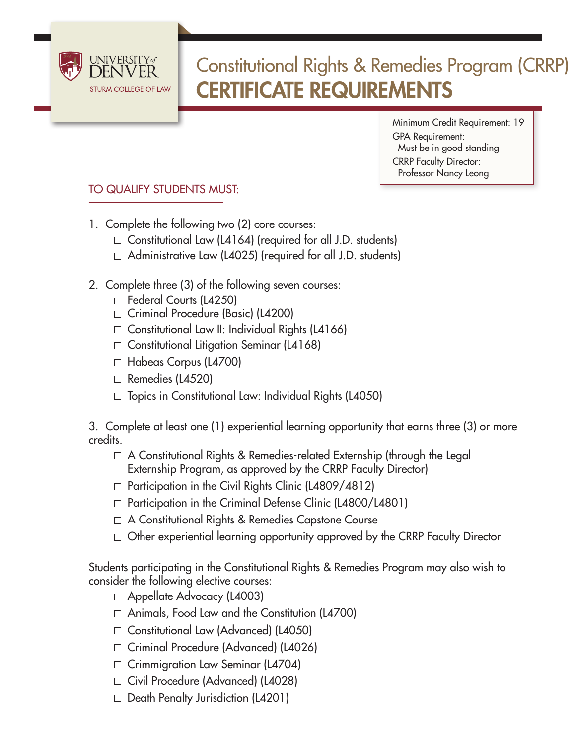

## Constitutional Rights & Remedies Program (CRRP) CERTIFICATE REQUIREMENTS

Minimum Credit Requirement: 19 GPA Requirement: Must be in good standing CRRP Faculty Director: Professor Nancy Leong

## TO QUALIFY STUDENTS MUST:

- 1. Complete the following two (2) core courses:
	- $\Box$  Constitutional Law (L4164) (required for all J.D. students)
	- $\Box$  Administrative Law (L4025) (required for all J.D. students)
- 2. Complete three (3) of the following seven courses:
	- □ Federal Courts (L4250)
	- Criminal Procedure (Basic) (L4200)
	- $\Box$  Constitutional Law II: Individual Rights (L4166)
	- $\Box$  Constitutional Litigation Seminar (L4168)
	- Habeas Corpus (L4700)
	- $\Box$  Remedies (L4520)
	- $\Box$  Topics in Constitutional Law: Individual Rights (L4050)

3. Complete at least one (1) experiential learning opportunity that earns three (3) or more credits.

- $\Box$  A Constitutional Rights & Remedies-related Externship (through the Legal Externship Program, as approved by the CRRP Faculty Director)
- $\Box$  Participation in the Civil Rights Clinic (L4809/4812)
- $\Box$  Participation in the Criminal Defense Clinic (L4800/L4801)
- A Constitutional Rights & Remedies Capstone Course
- $\Box$  Other experiential learning opportunity approved by the CRRP Faculty Director

Students participating in the Constitutional Rights & Remedies Program may also wish to consider the following elective courses:

- Appellate Advocacy (L4003)
- Animals, Food Law and the Constitution (L4700)
- Constitutional Law (Advanced) (L4050)
- □ Criminal Procedure (Advanced) (L4026)
- $\Box$  Crimmigration Law Seminar (L4704)
- Civil Procedure (Advanced) (L4028)
- $\Box$  Death Penalty Jurisdiction (L4201)